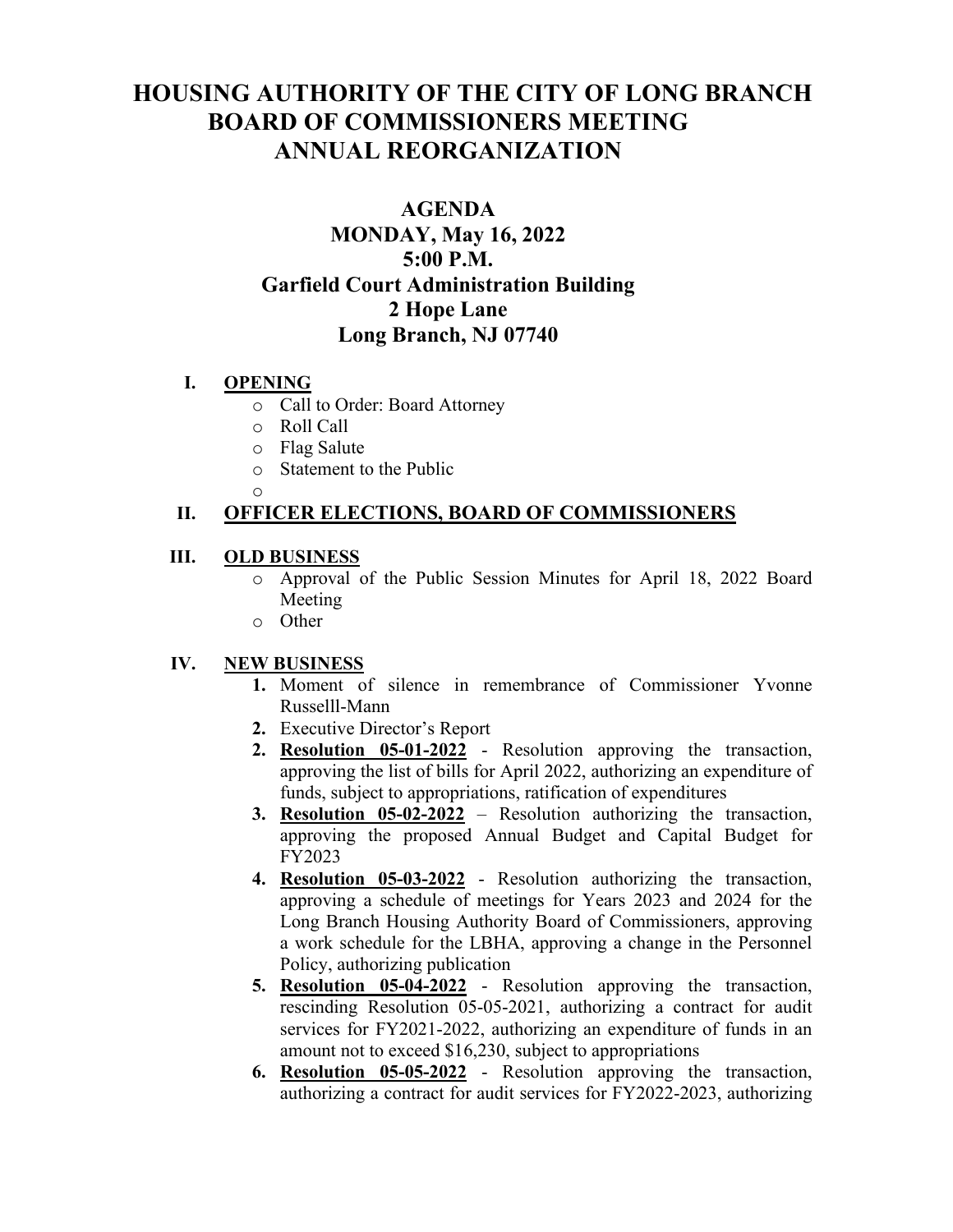# **HOUSING AUTHORITY OF THE CITY OF LONG BRANCH BOARD OF COMMISSIONERS MEETING ANNUAL REORGANIZATION**

## **AGENDA MONDAY, May 16, 2022 5:00 P.M. Garfield Court Administration Building 2 Hope Lane Long Branch, NJ 07740**

## **I. OPENING**

- o Call to Order: Board Attorney
- o Roll Call
- $\circ$  Flag Salute
- Statement to the Public
- o

## **II. OFFICER ELECTIONS, BOARD OF COMMISSIONERS**

## **III. OLD BUSINESS**

- o Approval of the Public Session Minutes for April 18, 2022 Board Meeting
- o Other

## **IV. NEW BUSINESS**

- **1.** Moment of silence in remembrance of Commissioner Yvonne Russelll-Mann
- **2.** Executive Director's Report
- **2. Resolution 05-01-2022** Resolution approving the transaction, approving the list of bills for April 2022, authorizing an expenditure of funds, subject to appropriations, ratification of expenditures
- **3. Resolution 05-02-2022** Resolution authorizing the transaction, approving the proposed Annual Budget and Capital Budget for FY2023
- **4. Resolution 05-03-2022** Resolution authorizing the transaction, approving a schedule of meetings for Years 2023 and 2024 for the Long Branch Housing Authority Board of Commissioners, approving a work schedule for the LBHA, approving a change in the Personnel Policy, authorizing publication
- **5. Resolution 05-04-2022** Resolution approving the transaction, rescinding Resolution 05-05-2021, authorizing a contract for audit services for FY2021-2022, authorizing an expenditure of funds in an amount not to exceed \$16,230, subject to appropriations
- **6. Resolution 05-05-2022** Resolution approving the transaction, authorizing a contract for audit services for FY2022-2023, authorizing